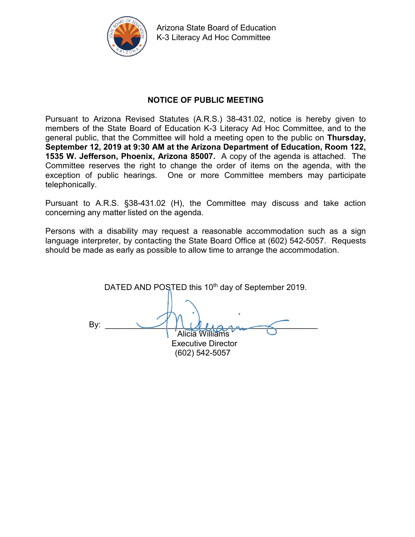

Arizona State Board of Education K-3 Literacy Ad Hoc Committee

# **NOTICE OF PUBLIC MEETING**

Pursuant to Arizona Revised Statutes (A.R.S.) 38-431.02, notice is hereby given to members of the State Board of Education K-3 Literacy Ad Hoc Committee, and to the general public, that the Committee will hold a meeting open to the public on **Thursday, September 12, 2019 at 9:30 AM at the Arizona Department of Education, Room 122, 1535 W. Jefferson, Phoenix, Arizona 85007.** A copy of the agenda is attached. The Committee reserves the right to change the order of items on the agenda, with the exception of public hearings. One or more Committee members may participate telephonically.

Pursuant to A.R.S. §38-431.02 (H), the Committee may discuss and take action concerning any matter listed on the agenda.

Persons with a disability may request a reasonable accommodation such as a sign language interpreter, by contacting the State Board Office at (602) 542-5057. Requests should be made as early as possible to allow time to arrange the accommodation.

DATED AND POSTED this 10<sup>th</sup> day of September 2019. By:  $\longrightarrow$   $\cup$   $\cup$   $\cup$   $\cup$   $\rightarrow$ Alicia Williams Executive Director (602) 542-5057